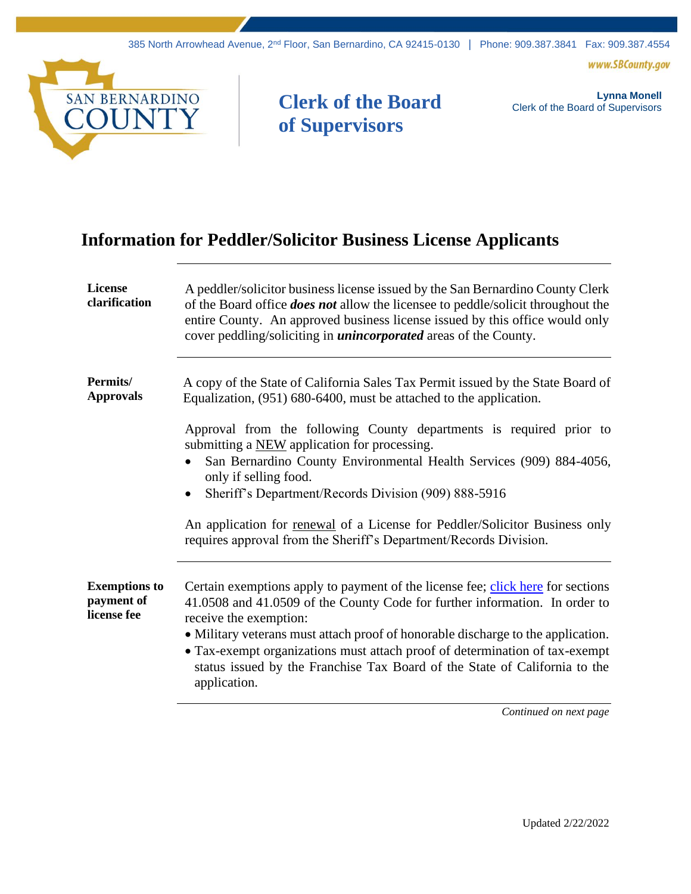www.SBCounty.gov



## **Clerk of the Board of Supervisors**

**Lynna Monell** Clerk of the Board of Supervisors

## **Information for Peddler/Solicitor Business License Applicants**

| <b>License</b><br>clarification                   | A peddler/solicitor business license issued by the San Bernardino County Clerk<br>of the Board office <i>does not</i> allow the licensee to peddle/solicit throughout the<br>entire County. An approved business license issued by this office would only<br>cover peddling/soliciting in <i>unincorporated</i> areas of the County.                                                                                                                      |
|---------------------------------------------------|-----------------------------------------------------------------------------------------------------------------------------------------------------------------------------------------------------------------------------------------------------------------------------------------------------------------------------------------------------------------------------------------------------------------------------------------------------------|
| <b>Permits</b> /<br><b>Approvals</b>              | A copy of the State of California Sales Tax Permit issued by the State Board of<br>Equalization, (951) 680-6400, must be attached to the application.                                                                                                                                                                                                                                                                                                     |
|                                                   | Approval from the following County departments is required prior to<br>submitting a NEW application for processing.<br>San Bernardino County Environmental Health Services (909) 884-4056,<br>only if selling food.<br>Sheriff's Department/Records Division (909) 888-5916<br>An application for renewal of a License for Peddler/Solicitor Business only<br>requires approval from the Sheriff's Department/Records Division.                           |
| <b>Exemptions to</b><br>payment of<br>license fee | Certain exemptions apply to payment of the license fee; click here for sections<br>41.0508 and 41.0509 of the County Code for further information. In order to<br>receive the exemption:<br>• Military veterans must attach proof of honorable discharge to the application.<br>• Tax-exempt organizations must attach proof of determination of tax-exempt<br>status issued by the Franchise Tax Board of the State of California to the<br>application. |

*Continued on next page*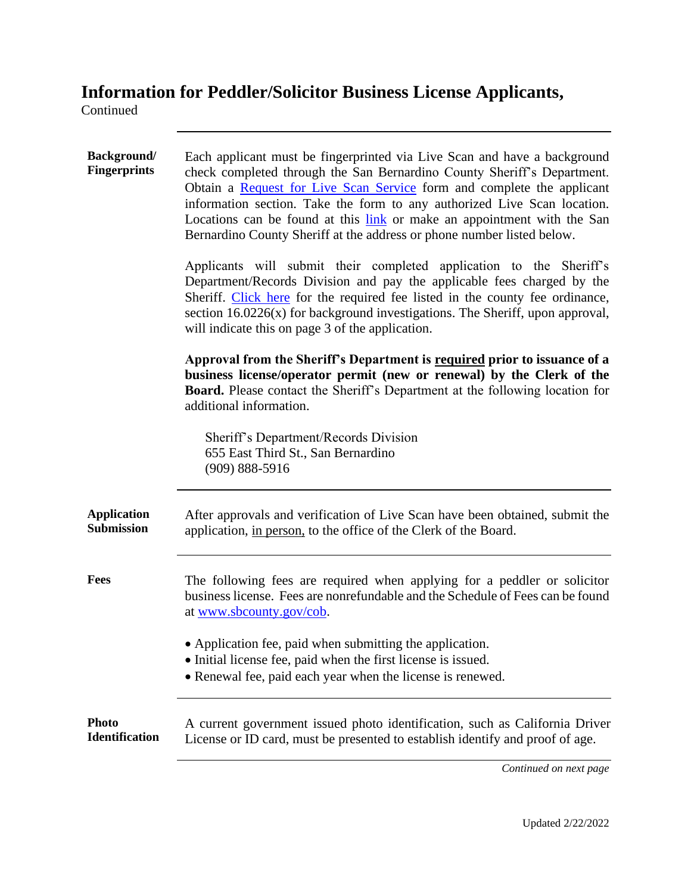## **Information for Peddler/Solicitor Business License Applicants,**

Continued

| <b>Background/</b><br><b>Fingerprints</b> | Each applicant must be fingerprinted via Live Scan and have a background<br>check completed through the San Bernardino County Sheriff's Department.<br>Obtain a Request for Live Scan Service form and complete the applicant<br>information section. Take the form to any authorized Live Scan location.<br>Locations can be found at this link or make an appointment with the San<br>Bernardino County Sheriff at the address or phone number listed below. |
|-------------------------------------------|----------------------------------------------------------------------------------------------------------------------------------------------------------------------------------------------------------------------------------------------------------------------------------------------------------------------------------------------------------------------------------------------------------------------------------------------------------------|
|                                           | Applicants will submit their completed application to the Sheriff's<br>Department/Records Division and pay the applicable fees charged by the<br>Sheriff. Click here for the required fee listed in the county fee ordinance,<br>section 16.0226(x) for background investigations. The Sheriff, upon approval,<br>will indicate this on page 3 of the application.                                                                                             |
|                                           | Approval from the Sheriff's Department is required prior to issuance of a<br>business license/operator permit (new or renewal) by the Clerk of the<br>Board. Please contact the Sheriff's Department at the following location for<br>additional information.                                                                                                                                                                                                  |
|                                           | Sheriff's Department/Records Division<br>655 East Third St., San Bernardino<br>$(909) 888 - 5916$                                                                                                                                                                                                                                                                                                                                                              |
| <b>Application</b><br><b>Submission</b>   | After approvals and verification of Live Scan have been obtained, submit the<br>application, in person, to the office of the Clerk of the Board.                                                                                                                                                                                                                                                                                                               |
| Fees                                      | The following fees are required when applying for a peddler or solicitor<br>business license. Fees are nonrefundable and the Schedule of Fees can be found<br>at www.sbcounty.gov/cob.                                                                                                                                                                                                                                                                         |
|                                           | • Application fee, paid when submitting the application.<br>• Initial license fee, paid when the first license is issued.<br>• Renewal fee, paid each year when the license is renewed.                                                                                                                                                                                                                                                                        |
| <b>Photo</b><br><b>Identification</b>     | A current government issued photo identification, such as California Driver<br>License or ID card, must be presented to establish identify and proof of age.                                                                                                                                                                                                                                                                                                   |

*Continued on next page*